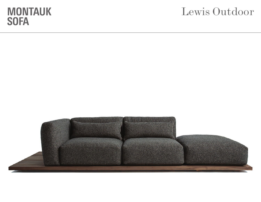## Lewis Outdoor

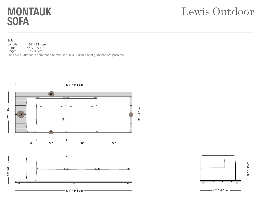## Lewis Outdoor

#### Sofa

Length 134" / 341 cm<br>Depth 47" / 120 cm Depth 47" / 120 cm<br>
Height 32" / 82 cm

32" / 82 cm

The Lewis Outdoor is composed of modular units. Multiple configurations are possible.



32" / 82 cm

 $-47$ " / 120 cm  $-$ 

47" / 120 cm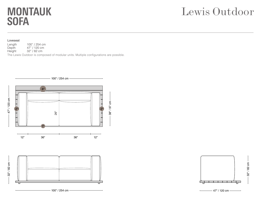# Lewis Outdoor

#### Loveseat

Length 100" / 254 cm<br>Depth 47" / 120 cm Depth 47" / 120 cm<br>
Height 32" / 82 cm 32" / 82 cm

The Lewis Outdoor is composed of modular units. Multiple configurations are possible.





47" / 120 cm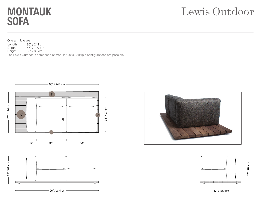# Lewis Outdoor

#### One arm loveseat

Length 96" / 244 cm<br>Depth 47" / 120 cm Depth 47" / 120 cm<br>
Height 32" / 82 cm 32" / 82 cm

The Lewis Outdoor is composed of modular units. Multiple configurations are possible.





47" / 120 cm



 $-47$ " / 120 cm  $-$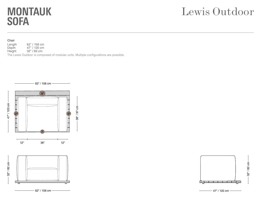## Lewis Outdoor

#### Chair

Length 62" / 158 cm<br>Depth 47" / 120 cm Depth 47" / 120 cm<br>
Height 32" / 82 cm

32" / 82 cm

The Lewis Outdoor is composed of modular units. Multiple configurations are possible.



![](_page_4_Figure_7.jpeg)

 $-47" / 120$  cm  $-$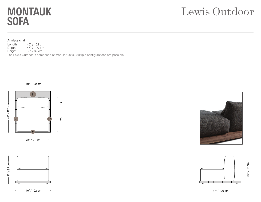# Lewis Outdoor

#### Armless chair

Length 40" / 102 cm<br>Depth 47" / 120 cm Depth 47" / 120 cm<br>
Height 32" / 82 cm 32" / 82 cm The Lewis Outdoor is composed of modular units. Multiple configurations are possible.

ี<br>26"<br>26"

 $\bar{8}^{\circ}$ 

![](_page_5_Figure_4.jpeg)

![](_page_5_Figure_5.jpeg)

![](_page_5_Figure_6.jpeg)

40" / 102 cm —

![](_page_5_Picture_8.jpeg)

![](_page_5_Figure_9.jpeg)

32" / 82 cm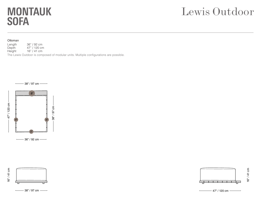## Lewis Outdoor

#### Ottoman

Length 36" / 92 cm<br>Depth 47" / 120 cm Depth 47" / 120 cm<br>
Height 16" / 41 cm  $16" / 41 cm$ 

The Lewis Outdoor is composed of modular units. Multiple configurations are possible.

![](_page_6_Figure_5.jpeg)

![](_page_6_Figure_7.jpeg)

 $-$  38" / 97 cm  $-\rightarrow$ 

![](_page_6_Figure_9.jpeg)

![](_page_6_Figure_10.jpeg)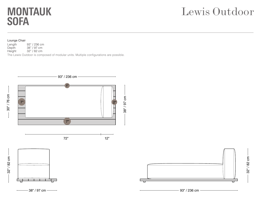## Lewis Outdoor

#### Lounge Chair

Length 93" / 236 cm<br>Depth 38" / 97 cm

Depth 38" / 97 cm<br>
Height 32" / 82 cm 32" / 82 cm

The Lewis Outdoor is composed of modular units. Multiple configurations are possible.

![](_page_7_Figure_6.jpeg)

![](_page_7_Figure_7.jpeg)

93" / 236 cm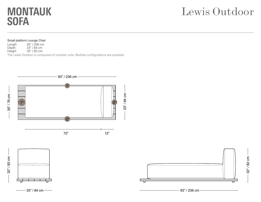## Lewis Outdoor

#### Small platform Lounge Chair

Length 93" / 236 cm<br>Depth 33" / 84 cm

Depth 33" / 84 cm<br>
Height 32" / 82 cm 32" / 82 cm

The Lewis Outdoor is composed of modular units. Multiple configurations are possible.

![](_page_8_Figure_6.jpeg)

![](_page_8_Figure_7.jpeg)

93" / 236 cm